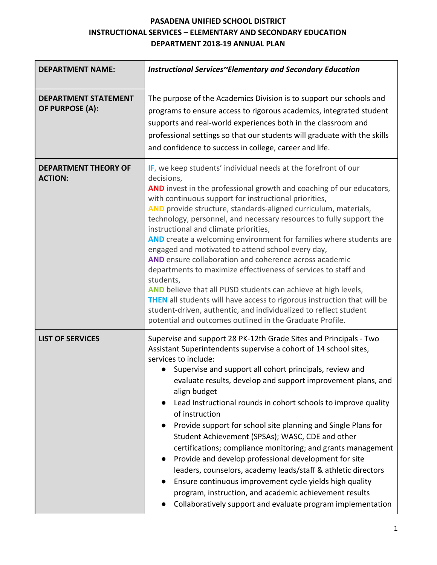# **PASADENA UNIFIED SCHOOL DISTRICT INSTRUCTIONAL SERVICES – ELEMENTARY AND SECONDARY EDUCATION DEPARTMENT 2018-19 ANNUAL PLAN**

| <b>DEPARTMENT NAME:</b>                        | Instructional Services~Elementary and Secondary Education                                                                                                                                                                                                                                                                                                                                                                                                                                                                                                                                                                                                                                                                                                                                                                                                                                                                                         |  |
|------------------------------------------------|---------------------------------------------------------------------------------------------------------------------------------------------------------------------------------------------------------------------------------------------------------------------------------------------------------------------------------------------------------------------------------------------------------------------------------------------------------------------------------------------------------------------------------------------------------------------------------------------------------------------------------------------------------------------------------------------------------------------------------------------------------------------------------------------------------------------------------------------------------------------------------------------------------------------------------------------------|--|
| <b>DEPARTMENT STATEMENT</b><br>OF PURPOSE (A): | The purpose of the Academics Division is to support our schools and<br>programs to ensure access to rigorous academics, integrated student<br>supports and real-world experiences both in the classroom and<br>professional settings so that our students will graduate with the skills<br>and confidence to success in college, career and life.                                                                                                                                                                                                                                                                                                                                                                                                                                                                                                                                                                                                 |  |
| <b>DEPARTMENT THEORY OF</b><br><b>ACTION:</b>  | IF, we keep students' individual needs at the forefront of our<br>decisions,<br>AND invest in the professional growth and coaching of our educators,<br>with continuous support for instructional priorities,<br>AND provide structure, standards-aligned curriculum, materials,<br>technology, personnel, and necessary resources to fully support the<br>instructional and climate priorities,<br>AND create a welcoming environment for families where students are<br>engaged and motivated to attend school every day,<br>AND ensure collaboration and coherence across academic<br>departments to maximize effectiveness of services to staff and<br>students,<br>AND believe that all PUSD students can achieve at high levels,<br>THEN all students will have access to rigorous instruction that will be<br>student-driven, authentic, and individualized to reflect student<br>potential and outcomes outlined in the Graduate Profile. |  |
| <b>LIST OF SERVICES</b>                        | Supervise and support 28 PK-12th Grade Sites and Principals - Two<br>Assistant Superintendents supervise a cohort of 14 school sites,<br>services to include:<br>Supervise and support all cohort principals, review and<br>evaluate results, develop and support improvement plans, and<br>align budget<br>Lead Instructional rounds in cohort schools to improve quality<br>of instruction<br>Provide support for school site planning and Single Plans for<br>Student Achievement (SPSAs); WASC, CDE and other<br>certifications; compliance monitoring; and grants management<br>Provide and develop professional development for site<br>$\bullet$<br>leaders, counselors, academy leads/staff & athletic directors<br>Ensure continuous improvement cycle yields high quality<br>$\bullet$<br>program, instruction, and academic achievement results<br>Collaboratively support and evaluate program implementation<br>$\bullet$            |  |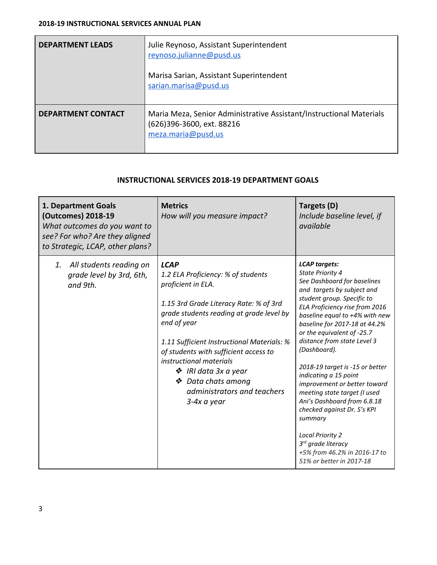| <b>DEPARTMENT LEADS</b>   | Julie Reynoso, Assistant Superintendent<br>reynoso.julianne@pusd.us<br>Marisa Sarian, Assistant Superintendent<br>sarian.marisa@pusd.us |
|---------------------------|-----------------------------------------------------------------------------------------------------------------------------------------|
| <b>DEPARTMENT CONTACT</b> | Maria Meza, Senior Administrative Assistant/Instructional Materials<br>(626)396-3600, ext. 88216<br>meza.maria@pusd.us                  |

# **INSTRUCTIONAL SERVICES 2018-19 DEPARTMENT GOALS**

| 1. Department Goals<br>(Outcomes) 2018-19<br>What outcomes do you want to<br>see? For who? Are they aligned<br>to Strategic, LCAP, other plans? | <b>Metrics</b><br>How will you measure impact?                                                                                                                                                                                                                                                                                                                                             | Targets (D)<br>Include baseline level, if<br>available                                                                                                                                                                                                                                                                                                                                                                                                                                                                                                                                                                                              |
|-------------------------------------------------------------------------------------------------------------------------------------------------|--------------------------------------------------------------------------------------------------------------------------------------------------------------------------------------------------------------------------------------------------------------------------------------------------------------------------------------------------------------------------------------------|-----------------------------------------------------------------------------------------------------------------------------------------------------------------------------------------------------------------------------------------------------------------------------------------------------------------------------------------------------------------------------------------------------------------------------------------------------------------------------------------------------------------------------------------------------------------------------------------------------------------------------------------------------|
| All students reading on<br>1.<br>grade level by 3rd, 6th,<br>and 9th.                                                                           | <b>LCAP</b><br>1.2 ELA Proficiency: % of students<br>proficient in ELA.<br>1.15 3rd Grade Literacy Rate: % of 3rd<br>grade students reading at grade level by<br>end of year<br>1.11 Sufficient Instructional Materials: %<br>of students with sufficient access to<br>instructional materials<br>❖ IRI data 3x a year<br>❖ Data chats among<br>administrators and teachers<br>3-4x a year | <b>LCAP</b> targets:<br>State Priority 4<br>See Dashboard for baselines<br>and targets by subject and<br>student group. Specific to<br>ELA Proficiency rise from 2016<br>baseline equal to +4% with new<br>baseline for 2017-18 at 44.2%<br>or the equivalent of -25.7<br>distance from state Level 3<br>(Dashboard).<br>2018-19 target is -15 or better<br>indicating a 15 point<br>improvement or better toward<br>meeting state target (I used<br>Ani's Dashboard from 6.8.18<br>checked against Dr. S's KPI<br>summary<br><b>Local Priority 2</b><br>3 <sup>rd</sup> grade literacy<br>+5% from 46.2% in 2016-17 to<br>51% or better in 2017-18 |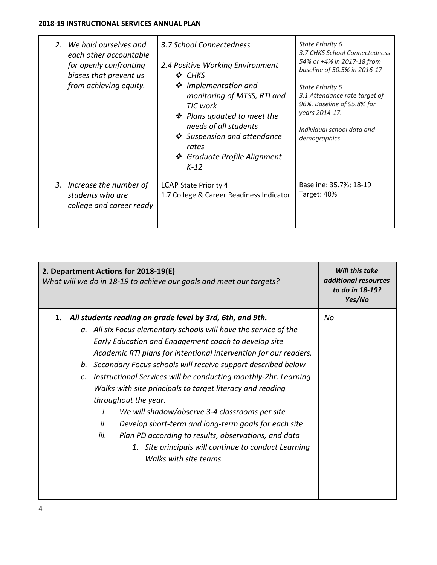## **2018-19 INSTRUCTIONAL SERVICES ANNUAL PLAN**

| 2. We hold ourselves and<br>each other accountable<br>for openly confronting<br>biases that prevent us<br>from achieving equity. | 3.7 School Connectedness<br>2.4 Positive Working Environment<br>❖ CHKS<br>❖ Implementation and<br>monitoring of MTSS, RTI and<br>TIC work<br>❖ Plans updated to meet the<br>needs of all students<br>❖ Suspension and attendance<br>rates<br>❖ Graduate Profile Alignment<br>$K-12$ | State Priority 6<br>3.7 CHKS School Connectedness<br>54% or +4% in 2017-18 from<br>baseline of 50.5% in 2016-17<br><b>State Priority 5</b><br>3.1 Attendance rate target of<br>96%. Baseline of 95.8% for<br>years 2014-17.<br>Individual school data and<br>demographics |
|----------------------------------------------------------------------------------------------------------------------------------|-------------------------------------------------------------------------------------------------------------------------------------------------------------------------------------------------------------------------------------------------------------------------------------|---------------------------------------------------------------------------------------------------------------------------------------------------------------------------------------------------------------------------------------------------------------------------|
| 3. Increase the number of<br>students who are<br>college and career ready                                                        | LCAP State Priority 4<br>1.7 College & Career Readiness Indicator                                                                                                                                                                                                                   | Baseline: 35.7%; 18-19<br>Target: 40%                                                                                                                                                                                                                                     |

| 2. Department Actions for 2018-19(E)<br>What will we do in 18-19 to achieve our goals and meet our targets?                                                                                                                                                                                                                                                                                                                                                                                                                                                                                                                                                                                                                                                                           | Will this take<br>additional resources<br>to do in 18-19?<br>Yes/No |
|---------------------------------------------------------------------------------------------------------------------------------------------------------------------------------------------------------------------------------------------------------------------------------------------------------------------------------------------------------------------------------------------------------------------------------------------------------------------------------------------------------------------------------------------------------------------------------------------------------------------------------------------------------------------------------------------------------------------------------------------------------------------------------------|---------------------------------------------------------------------|
| All students reading on grade level by 3rd, 6th, and 9th.<br>1.<br>a. All six Focus elementary schools will have the service of the<br>Early Education and Engagement coach to develop site<br>Academic RTI plans for intentional intervention for our readers.<br>b. Secondary Focus schools will receive support described below<br>Instructional Services will be conducting monthly-2hr. Learning<br>$\mathcal{C}$ .<br>Walks with site principals to target literacy and reading<br>throughout the year.<br>i.<br>We will shadow/observe 3-4 classrooms per site<br>Develop short-term and long-term goals for each site<br>ii.<br>iii.<br>Plan PD according to results, observations, and data<br>1. Site principals will continue to conduct Learning<br>Walks with site teams | No                                                                  |
|                                                                                                                                                                                                                                                                                                                                                                                                                                                                                                                                                                                                                                                                                                                                                                                       |                                                                     |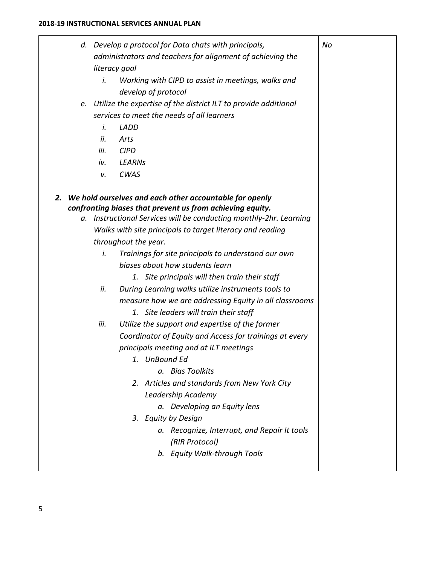|    | i.                | d. Develop a protocol for Data chats with principals,<br>administrators and teachers for alignment of achieving the<br>literacy goal<br>Working with CIPD to assist in meetings, walks and<br>develop of protocol                                                                                                                                                                                                                                                                                                                                                                                                                                                                                                                                                                                                                                                                                                                                                                    | No |
|----|-------------------|--------------------------------------------------------------------------------------------------------------------------------------------------------------------------------------------------------------------------------------------------------------------------------------------------------------------------------------------------------------------------------------------------------------------------------------------------------------------------------------------------------------------------------------------------------------------------------------------------------------------------------------------------------------------------------------------------------------------------------------------------------------------------------------------------------------------------------------------------------------------------------------------------------------------------------------------------------------------------------------|----|
|    |                   | e. Utilize the expertise of the district ILT to provide additional                                                                                                                                                                                                                                                                                                                                                                                                                                                                                                                                                                                                                                                                                                                                                                                                                                                                                                                   |    |
|    |                   | services to meet the needs of all learners                                                                                                                                                                                                                                                                                                                                                                                                                                                                                                                                                                                                                                                                                                                                                                                                                                                                                                                                           |    |
|    | i.                | <b>LADD</b>                                                                                                                                                                                                                                                                                                                                                                                                                                                                                                                                                                                                                                                                                                                                                                                                                                                                                                                                                                          |    |
|    | ii.               | Arts                                                                                                                                                                                                                                                                                                                                                                                                                                                                                                                                                                                                                                                                                                                                                                                                                                                                                                                                                                                 |    |
|    | iii.              | <b>CIPD</b>                                                                                                                                                                                                                                                                                                                                                                                                                                                                                                                                                                                                                                                                                                                                                                                                                                                                                                                                                                          |    |
|    | iv.               | <b>LEARNs</b>                                                                                                                                                                                                                                                                                                                                                                                                                                                                                                                                                                                                                                                                                                                                                                                                                                                                                                                                                                        |    |
|    | ν.                | <b>CWAS</b>                                                                                                                                                                                                                                                                                                                                                                                                                                                                                                                                                                                                                                                                                                                                                                                                                                                                                                                                                                          |    |
| 2. | i.<br>ii.<br>iii. | We hold ourselves and each other accountable for openly<br>confronting biases that prevent us from achieving equity.<br>a. Instructional Services will be conducting monthly-2hr. Learning<br>Walks with site principals to target literacy and reading<br>throughout the year.<br>Trainings for site principals to understand our own<br>biases about how students learn<br>1. Site principals will then train their staff<br>During Learning walks utilize instruments tools to<br>measure how we are addressing Equity in all classrooms<br>1. Site leaders will train their staff<br>Utilize the support and expertise of the former<br>Coordinator of Equity and Access for trainings at every<br>principals meeting and at ILT meetings<br>1.<br>UnBound Ed<br>a. Bias Toolkits<br>2. Articles and standards from New York City<br>Leadership Academy<br>a. Developing an Equity lens<br>3. Equity by Design<br>a. Recognize, Interrupt, and Repair It tools<br>(RIR Protocol) |    |
|    |                   | b. Equity Walk-through Tools                                                                                                                                                                                                                                                                                                                                                                                                                                                                                                                                                                                                                                                                                                                                                                                                                                                                                                                                                         |    |
|    |                   |                                                                                                                                                                                                                                                                                                                                                                                                                                                                                                                                                                                                                                                                                                                                                                                                                                                                                                                                                                                      |    |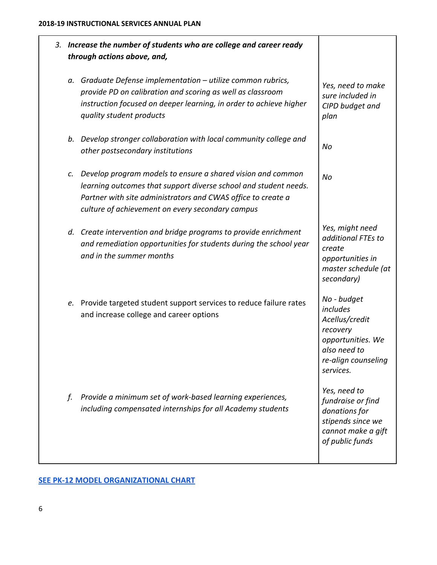| 3. |    | Increase the number of students who are college and career ready<br>through actions above, and,                                                                                                                                                        |                                                                                                                                |
|----|----|--------------------------------------------------------------------------------------------------------------------------------------------------------------------------------------------------------------------------------------------------------|--------------------------------------------------------------------------------------------------------------------------------|
|    |    | a. Graduate Defense implementation - utilize common rubrics,<br>provide PD on calibration and scoring as well as classroom<br>instruction focused on deeper learning, in order to achieve higher<br>quality student products                           | Yes, need to make<br>sure included in<br>CIPD budget and<br>plan                                                               |
|    |    | b. Develop stronger collaboration with local community college and<br>other postsecondary institutions                                                                                                                                                 | No                                                                                                                             |
|    |    | c. Develop program models to ensure a shared vision and common<br>learning outcomes that support diverse school and student needs.<br>Partner with site administrators and CWAS office to create a<br>culture of achievement on every secondary campus | No                                                                                                                             |
|    |    | d. Create intervention and bridge programs to provide enrichment<br>and remediation opportunities for students during the school year<br>and in the summer months                                                                                      | Yes, might need<br>additional FTEs to<br>create<br>opportunities in<br>master schedule (at<br>secondary)                       |
|    |    | e. Provide targeted student support services to reduce failure rates<br>and increase college and career options                                                                                                                                        | No - budget<br>includes<br>Acellus/credit<br>recovery<br>opportunities. We<br>also need to<br>re-align counseling<br>services. |
|    | f. | Provide a minimum set of work-based learning experiences,<br>including compensated internships for all Academy students                                                                                                                                | Yes, need to<br>fundraise or find<br>donations for<br>stipends since we<br>cannot make a gift<br>of public funds               |

# **[SEE PK-12 MODEL ORGANIZATIONAL CHART](https://drive.google.com/open?id=1ulPjCMZlkyC-JG5S3joLeXeEG2fe0P_BFQdPT-00TJk)**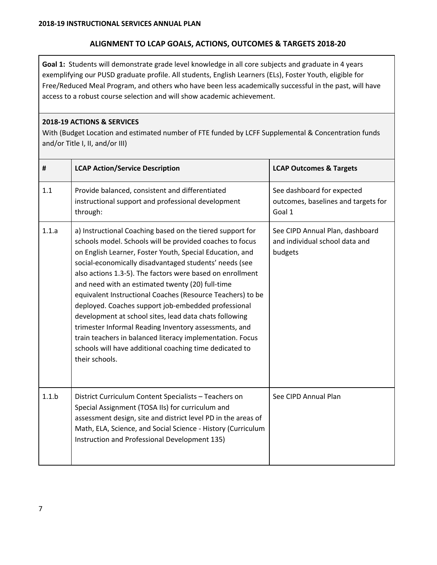# **ALIGNMENT TO LCAP GOALS, ACTIONS, OUTCOMES & TARGETS 2018-20**

**Goal 1:** Students will demonstrate grade level knowledge in all core subjects and graduate in 4 years exemplifying our PUSD graduate profile. All students, English Learners (ELs), Foster Youth, eligible for Free/Reduced Meal Program, and others who have been less academically successful in the past, will have access to a robust course selection and will show academic achievement.

## **2018-19 ACTIONS & SERVICES**

With (Budget Location and estimated number of FTE funded by LCFF Supplemental & Concentration funds and/or Title I, II, and/or III)

| #     | <b>LCAP Action/Service Description</b>                                                                                                                                                                                                                                                                                                                                                                                                                                                                                                                                                                                                                                                                                                         | <b>LCAP Outcomes &amp; Targets</b>                                           |
|-------|------------------------------------------------------------------------------------------------------------------------------------------------------------------------------------------------------------------------------------------------------------------------------------------------------------------------------------------------------------------------------------------------------------------------------------------------------------------------------------------------------------------------------------------------------------------------------------------------------------------------------------------------------------------------------------------------------------------------------------------------|------------------------------------------------------------------------------|
| 1.1   | Provide balanced, consistent and differentiated<br>instructional support and professional development<br>through:                                                                                                                                                                                                                                                                                                                                                                                                                                                                                                                                                                                                                              | See dashboard for expected<br>outcomes, baselines and targets for<br>Goal 1  |
| 1.1.a | a) Instructional Coaching based on the tiered support for<br>schools model. Schools will be provided coaches to focus<br>on English Learner, Foster Youth, Special Education, and<br>social-economically disadvantaged students' needs (see<br>also actions 1.3-5). The factors were based on enrollment<br>and need with an estimated twenty (20) full-time<br>equivalent Instructional Coaches (Resource Teachers) to be<br>deployed. Coaches support job-embedded professional<br>development at school sites, lead data chats following<br>trimester Informal Reading Inventory assessments, and<br>train teachers in balanced literacy implementation. Focus<br>schools will have additional coaching time dedicated to<br>their schools. | See CIPD Annual Plan, dashboard<br>and individual school data and<br>budgets |
| 1.1.b | District Curriculum Content Specialists - Teachers on<br>Special Assignment (TOSA IIs) for curriculum and<br>assessment design, site and district level PD in the areas of<br>Math, ELA, Science, and Social Science - History (Curriculum<br>Instruction and Professional Development 135)                                                                                                                                                                                                                                                                                                                                                                                                                                                    | See CIPD Annual Plan                                                         |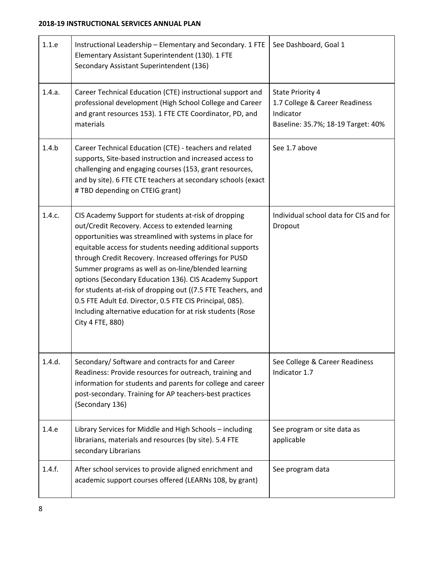| 1.1.e  | Instructional Leadership - Elementary and Secondary. 1 FTE<br>Elementary Assistant Superintendent (130). 1 FTE<br>Secondary Assistant Superintendent (136)                                                                                                                                                                                                                                                                                                                                                                                                                                                               | See Dashboard, Goal 1                                                                                        |
|--------|--------------------------------------------------------------------------------------------------------------------------------------------------------------------------------------------------------------------------------------------------------------------------------------------------------------------------------------------------------------------------------------------------------------------------------------------------------------------------------------------------------------------------------------------------------------------------------------------------------------------------|--------------------------------------------------------------------------------------------------------------|
| 1.4.a. | Career Technical Education (CTE) instructional support and<br>professional development (High School College and Career<br>and grant resources 153). 1 FTE CTE Coordinator, PD, and<br>materials                                                                                                                                                                                                                                                                                                                                                                                                                          | <b>State Priority 4</b><br>1.7 College & Career Readiness<br>Indicator<br>Baseline: 35.7%; 18-19 Target: 40% |
| 1.4.b  | Career Technical Education (CTE) - teachers and related<br>supports, Site-based instruction and increased access to<br>challenging and engaging courses (153, grant resources,<br>and by site). 6 FTE CTE teachers at secondary schools (exact<br># TBD depending on CTEIG grant)                                                                                                                                                                                                                                                                                                                                        | See 1.7 above                                                                                                |
| 1.4.c. | CIS Academy Support for students at-risk of dropping<br>out/Credit Recovery. Access to extended learning<br>opportunities was streamlined with systems in place for<br>equitable access for students needing additional supports<br>through Credit Recovery. Increased offerings for PUSD<br>Summer programs as well as on-line/blended learning<br>options (Secondary Education 136). CIS Academy Support<br>for students at-risk of dropping out ((7.5 FTE Teachers, and<br>0.5 FTE Adult Ed. Director, 0.5 FTE CIS Principal, 085).<br>Including alternative education for at risk students (Rose<br>City 4 FTE, 880) | Individual school data for CIS and for<br>Dropout                                                            |
| 1.4.d. | Secondary/ Software and contracts for and Career<br>Readiness: Provide resources for outreach, training and<br>information for students and parents for college and career<br>post-secondary. Training for AP teachers-best practices<br>(Secondary 136)                                                                                                                                                                                                                                                                                                                                                                 | See College & Career Readiness<br>Indicator 1.7                                                              |
| 1.4.e  | Library Services for Middle and High Schools - including<br>librarians, materials and resources (by site). 5.4 FTE<br>secondary Librarians                                                                                                                                                                                                                                                                                                                                                                                                                                                                               | See program or site data as<br>applicable                                                                    |
| 1.4.f. | After school services to provide aligned enrichment and<br>academic support courses offered (LEARNs 108, by grant)                                                                                                                                                                                                                                                                                                                                                                                                                                                                                                       | See program data                                                                                             |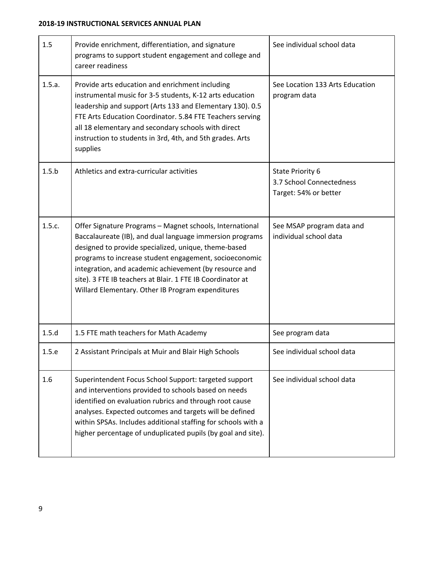| 1.5    | Provide enrichment, differentiation, and signature<br>programs to support student engagement and college and<br>career readiness                                                                                                                                                                                                                                                                                    | See individual school data                                            |
|--------|---------------------------------------------------------------------------------------------------------------------------------------------------------------------------------------------------------------------------------------------------------------------------------------------------------------------------------------------------------------------------------------------------------------------|-----------------------------------------------------------------------|
| 1.5.a. | Provide arts education and enrichment including<br>instrumental music for 3-5 students, K-12 arts education<br>leadership and support (Arts 133 and Elementary 130). 0.5<br>FTE Arts Education Coordinator. 5.84 FTE Teachers serving<br>all 18 elementary and secondary schools with direct<br>instruction to students in 3rd, 4th, and 5th grades. Arts<br>supplies                                               | See Location 133 Arts Education<br>program data                       |
| 1.5.b  | Athletics and extra-curricular activities                                                                                                                                                                                                                                                                                                                                                                           | State Priority 6<br>3.7 School Connectedness<br>Target: 54% or better |
| 1.5.c. | Offer Signature Programs - Magnet schools, International<br>Baccalaureate (IB), and dual language immersion programs<br>designed to provide specialized, unique, theme-based<br>programs to increase student engagement, socioeconomic<br>integration, and academic achievement (by resource and<br>site). 3 FTE IB teachers at Blair. 1 FTE IB Coordinator at<br>Willard Elementary. Other IB Program expenditures | See MSAP program data and<br>individual school data                   |
| 1.5.d  | 1.5 FTE math teachers for Math Academy                                                                                                                                                                                                                                                                                                                                                                              | See program data                                                      |
| 1.5.e  | 2 Assistant Principals at Muir and Blair High Schools                                                                                                                                                                                                                                                                                                                                                               | See individual school data                                            |
| 1.6    | Superintendent Focus School Support: targeted support<br>and interventions provided to schools based on needs<br>identified on evaluation rubrics and through root cause<br>analyses. Expected outcomes and targets will be defined<br>within SPSAs. Includes additional staffing for schools with a<br>higher percentage of unduplicated pupils (by goal and site).                                                | See individual school data                                            |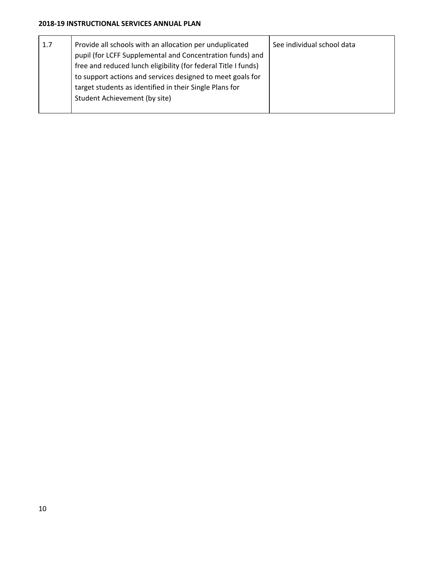## **2018-19 INSTRUCTIONAL SERVICES ANNUAL PLAN**

| 1.7 | Provide all schools with an allocation per unduplicated<br>pupil (for LCFF Supplemental and Concentration funds) and | See individual school data |
|-----|----------------------------------------------------------------------------------------------------------------------|----------------------------|
|     | free and reduced lunch eligibility (for federal Title I funds)                                                       |                            |
|     | to support actions and services designed to meet goals for                                                           |                            |
|     | target students as identified in their Single Plans for                                                              |                            |
|     | Student Achievement (by site)                                                                                        |                            |
|     |                                                                                                                      |                            |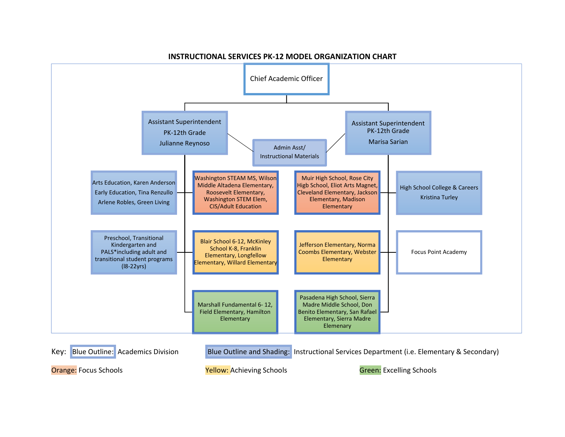

#### **INSTRUCTIONAL SERVICES PK‐12 MODEL ORGANIZATION CHART**

Key: Blue Outline: Academics Division Blue Outline and Shading: Instructional Services Department (i.e. Elementary & Secondary) Orange: Focus Schools Yellow: Achieving Schools Green: Excelling Schools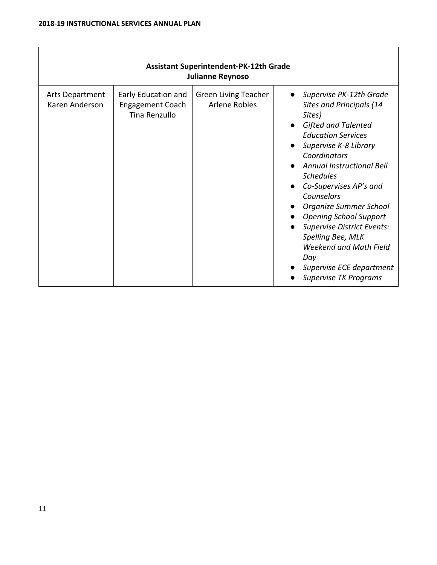| <b>Assistant Superintendent-PK-12th Grade</b><br><b>Julianne Reynoso</b> |                                                                 |                                                     |                                                                                                                                                                                                                                                                                                                                                                                                                                                                                            |  |  |
|--------------------------------------------------------------------------|-----------------------------------------------------------------|-----------------------------------------------------|--------------------------------------------------------------------------------------------------------------------------------------------------------------------------------------------------------------------------------------------------------------------------------------------------------------------------------------------------------------------------------------------------------------------------------------------------------------------------------------------|--|--|
| Arts Department<br>Karen Anderson                                        | Early Education and<br><b>Engagement Coach</b><br>Tina Renzullo | <b>Green Living Teacher</b><br><b>Arlene Robles</b> | Supervise PK-12th Grade<br><b>Sites and Principals (14</b><br>Sites)<br><b>Gifted and Talented</b><br><b>Education Services</b><br>Supervise K-8 Library<br>Coordinators<br><b>Annual Instructional Bell</b><br><b>Schedules</b><br>Co-Supervises AP's and<br>Counselors<br>Organize Summer School<br><b>Opening School Support</b><br><b>Supervise District Events:</b><br>Spelling Bee, MLK<br><b>Weekend and Math Field</b><br>Day<br>Supervise ECE department<br>Supervise TK Programs |  |  |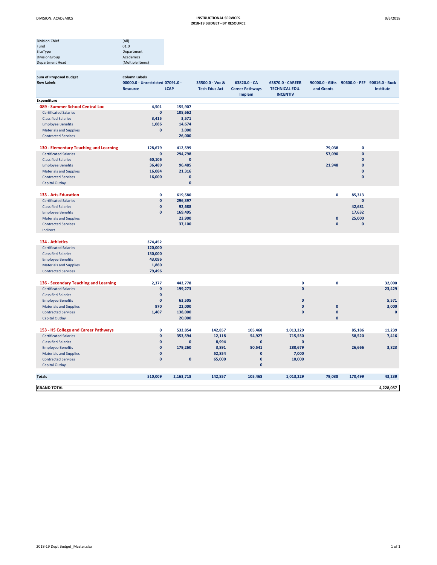| <b>Division Chief</b>  | (A  )            |
|------------------------|------------------|
| Fund                   | 01.0             |
| SiteType               | Department       |
| DivisionGroup          | Academics        |
| <b>Department Head</b> | (Multiple Items) |
|                        |                  |

| <b>Sum of Proposed Budget</b>                               | <b>Column Labels</b>             |                   |                      |                                  |                                   |              |                     |                                              |
|-------------------------------------------------------------|----------------------------------|-------------------|----------------------|----------------------------------|-----------------------------------|--------------|---------------------|----------------------------------------------|
| <b>Row Labels</b>                                           | 00000.0 - Unrestricted 07091.0 - |                   | 35500.0 - Voc &      | 63820.0 - CA                     | 63870.0 - CAREER                  |              |                     | 90000.0 - Gifts 90600.0 - PEF 90816.0 - Buck |
|                                                             | <b>Resource</b>                  | <b>LCAP</b>       | <b>Tech Educ Act</b> | <b>Career Pathways</b><br>Implem | TECHNICAL EDU.<br><b>INCENTIV</b> | and Grants   |                     | Institute                                    |
| <b>Expenditure</b>                                          |                                  |                   |                      |                                  |                                   |              |                     |                                              |
| 089 - Summer School Central Loc                             | 4,501                            | 155,907           |                      |                                  |                                   |              |                     |                                              |
| <b>Certificated Salaries</b>                                | $\pmb{0}$                        | 108,662           |                      |                                  |                                   |              |                     |                                              |
| <b>Classified Salaries</b>                                  | 3,415                            | 3,571             |                      |                                  |                                   |              |                     |                                              |
| <b>Employee Benefits</b>                                    | 1,086                            | 14,674            |                      |                                  |                                   |              |                     |                                              |
| <b>Materials and Supplies</b>                               | $\mathbf{0}$                     | 3,000             |                      |                                  |                                   |              |                     |                                              |
| <b>Contracted Services</b>                                  |                                  | 26,000            |                      |                                  |                                   |              |                     |                                              |
| 130 - Elementary Teaching and Learning                      | 128,679                          | 412,599           |                      |                                  |                                   | 79,038       | $\mathbf{0}$        |                                              |
| <b>Certificated Salaries</b>                                | $\pmb{0}$                        | 294,798           |                      |                                  |                                   | 57,090       | $\pmb{0}$           |                                              |
| <b>Classified Salaries</b>                                  | 60,106                           | $\mathbf{0}$      |                      |                                  |                                   |              | $\mathbf{0}$        |                                              |
| <b>Employee Benefits</b>                                    | 36,489                           | 96,485            |                      |                                  |                                   | 21,948       | $\mathbf{0}$        |                                              |
| <b>Materials and Supplies</b>                               | 16,084                           | 21,316            |                      |                                  |                                   |              | $\mathbf{0}$        |                                              |
| <b>Contracted Services</b>                                  | 16,000                           | $\mathbf{0}$      |                      |                                  |                                   |              | $\pmb{0}$           |                                              |
| <b>Capital Outlay</b>                                       |                                  | $\mathbf{0}$      |                      |                                  |                                   |              |                     |                                              |
| 133 - Arts Education                                        | 0                                |                   |                      |                                  |                                   | $\mathbf 0$  |                     |                                              |
|                                                             | $\pmb{0}$                        | 619,580           |                      |                                  |                                   |              | 85,313<br>$\pmb{0}$ |                                              |
| <b>Certificated Salaries</b>                                | $\pmb{0}$                        | 296,397           |                      |                                  |                                   |              |                     |                                              |
| <b>Classified Salaries</b>                                  | $\pmb{0}$                        | 92,688            |                      |                                  |                                   |              | 42,681              |                                              |
| <b>Employee Benefits</b>                                    |                                  | 169,495<br>23,900 |                      |                                  |                                   | $\mathbf{0}$ | 17,632<br>25,000    |                                              |
| <b>Materials and Supplies</b><br><b>Contracted Services</b> |                                  | 37,100            |                      |                                  |                                   | $\mathbf{0}$ | $\pmb{0}$           |                                              |
| Indirect                                                    |                                  |                   |                      |                                  |                                   |              |                     |                                              |
|                                                             |                                  |                   |                      |                                  |                                   |              |                     |                                              |
| 134 - Athletics                                             | 374,452                          |                   |                      |                                  |                                   |              |                     |                                              |
| <b>Certificated Salaries</b>                                | 120,000                          |                   |                      |                                  |                                   |              |                     |                                              |
| <b>Classified Salaries</b>                                  | 130,000                          |                   |                      |                                  |                                   |              |                     |                                              |
| <b>Employee Benefits</b>                                    | 43,096                           |                   |                      |                                  |                                   |              |                     |                                              |
| <b>Materials and Supplies</b>                               | 1,860                            |                   |                      |                                  |                                   |              |                     |                                              |
| <b>Contracted Services</b>                                  | 79,496                           |                   |                      |                                  |                                   |              |                     |                                              |
| 136 - Secondary Teaching and Learning                       | 2,377                            | 442,778           |                      |                                  | $\pmb{0}$                         | $\mathbf 0$  |                     | 32,000                                       |
| <b>Certificated Salaries</b>                                | $\mathbf{0}$                     | 199,273           |                      |                                  | $\mathbf{0}$                      |              |                     | 23,429                                       |
| <b>Classified Salaries</b>                                  | $\pmb{0}$                        |                   |                      |                                  |                                   |              |                     |                                              |
| <b>Employee Benefits</b>                                    | $\pmb{0}$                        | 63,505            |                      |                                  | $\mathbf{0}$                      |              |                     | 5,571                                        |
| <b>Materials and Supplies</b>                               | 970                              | 22,000            |                      |                                  | $\pmb{0}$                         | $\pmb{0}$    |                     | 3,000                                        |
| <b>Contracted Services</b>                                  | 1,407                            | 138,000           |                      |                                  | $\mathbf{0}$                      | $\pmb{0}$    |                     | $\mathbf 0$                                  |
| <b>Capital Outlay</b>                                       |                                  | 20,000            |                      |                                  |                                   | $\mathbf 0$  |                     |                                              |
| 153 - HS College and Career Pathways                        | $\mathbf 0$                      | 532,854           | 142,857              | 105,468                          | 1,013,229                         |              | 85,186              | 11,239                                       |
| <b>Certificated Salaries</b>                                | $\pmb{0}$                        | 353,594           | 12,118               | 54,927                           | 715,550                           |              | 58,520              | 7,416                                        |
| <b>Classified Salaries</b>                                  | $\mathbf{0}$                     | $\mathbf{0}$      | 8,994                | $\pmb{0}$                        | $\mathbf{0}$                      |              |                     |                                              |
| <b>Employee Benefits</b>                                    | $\pmb{0}$                        | 179,260           | 3,891                | 50,541                           | 280,679                           |              | 26,666              | 3,823                                        |
| <b>Materials and Supplies</b>                               | $\pmb{0}$                        |                   | 52,854               | $\mathbf{0}$                     | 7,000                             |              |                     |                                              |
| <b>Contracted Services</b>                                  | $\mathbf{0}$                     | $\mathbf{0}$      | 65,000               | $\mathbf 0$                      | 10,000                            |              |                     |                                              |
| <b>Capital Outlay</b>                                       |                                  |                   |                      | $\mathbf 0$                      |                                   |              |                     |                                              |
|                                                             |                                  |                   |                      |                                  |                                   |              |                     |                                              |
| <b>Totals</b>                                               | 510,009                          | 2,163,718         | 142,857              | 105,468                          | 1,013,229                         | 79,038       | 170,499             | 43,239                                       |
| <b>GRAND TOTAL</b>                                          |                                  |                   |                      |                                  |                                   |              |                     | 4,228,057                                    |